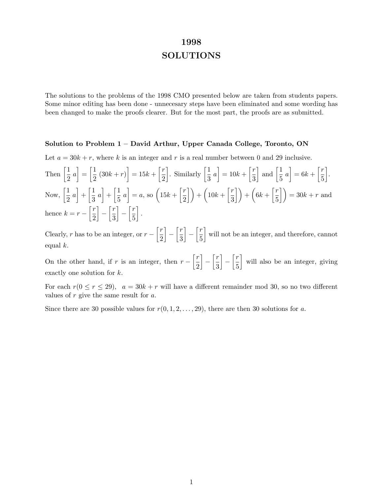# **1998 SOLUTIONS**

The solutions to the problems of the 1998 CMO presented below are taken from students papers. Some minor editing has been done - unnecesary steps have been eliminated and some wording has been changed to make the proofs clearer. But for the most part, the proofs are as submitted.

### **Solution to Problem 1 – David Arthur, Upper Canada College, Toronto, ON**

Let  $a = 30k + r$ , where k is an integer and r is a real number between 0 and 29 inclusive.

Then  $\left[\frac{1}{2}\right]$  $\left[\frac{1}{2} a\right] = \left[\frac{1}{2} (30k + r)\right] = 15k + \left[\frac{r}{2}\right]$ 2 . Similarly  $\left[\frac{1}{2}\right]$  $\left[\frac{1}{3} a\right] = 10k + \left[\frac{r}{3}\right]$ 3  $\Big|$  and  $\Big[\frac{1}{5}\Big]$  $\left[\frac{1}{5} a\right] = 6k + \left[\frac{r}{5}\right]$ 5 ¸ . Now,  $\left[\frac{1}{2}\right]$  $\left[\frac{1}{2}a\right] + \left[\frac{1}{3}\right]$  $\left[\frac{1}{3}a\right] + \left[\frac{1}{5}\right]$  $\left[\frac{1}{5} a\right] = a$ , so  $\left(15k + \left[\frac{r}{2}\right]$  $\left(\frac{r}{2}\right)$  +  $\left(10k + \left[\frac{r}{3}\right]$  $\left(\frac{r}{3}\right)$  +  $\left(6k+\left[\frac{r}{5}\right]$  $\left(\frac{r}{5}\right)$  = 30k + r and hence  $k = r - \left[\frac{r}{2}\right]$ 2  $\Big] - \Big[ \frac{r}{2} \Big]$ 3  $\Big] - \Big[ \frac{r}{r} \Big]$ 5 ¸ .

Clearly, r has to be an integer, or  $r - \left[\frac{r}{2}\right]$ 2  $\Big] - \Big[ \frac{r}{2} \Big]$ 3  $\Big] - \Big[ \frac{r}{r} \Big]$ 5 will not be an integer, and therefore, cannot equal  $k$ .

On the other hand, if r is an integer, then  $r - \frac{r}{2}$ 2  $\Big] - \Big[ \frac{r}{2}$ 3  $\Big] - \Big[ \frac{r}{r} \Big]$ 5 will also be an integer, giving exactly one solution for k.

For each  $r(0 \le r \le 29)$ ,  $a = 30k + r$  will have a different remainder mod 30, so no two different values of  $r$  give the same result for  $a$ .

Since there are 30 possible values for  $r(0, 1, 2, \ldots, 29)$ , there are then 30 solutions for a.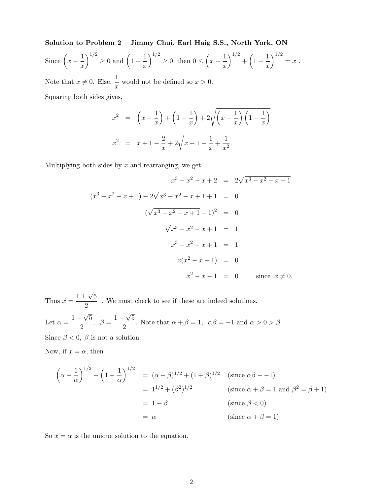**Solution to Problem 2 – Jimmy Chui, Earl Haig S.S., North York, ON** Since  $\left(x-\frac{1}{x}\right)$  $\bigg)^{1/2} \geq 0$  and  $\bigg(1 - \frac{1}{x}\bigg)$  $\setminus$ <sup>1/2</sup>  $\geq 0$ , then  $0 \leq \left(x - \frac{1}{x}\right)$  $\bigg)^{1/2} + \bigg(1 - \frac{1}{x}\bigg)$  $\setminus$ <sup>1/2</sup>  $= x$ . Note that  $x \neq 0$ . Else,  $\frac{1}{x}$  would not be defined so  $x > 0$ . Squaring both sides gives,

$$
x^{2} = \left(x - \frac{1}{x}\right) + \left(1 - \frac{1}{x}\right) + 2\sqrt{\left(x - \frac{1}{x}\right)\left(1 - \frac{1}{x}\right)}
$$
  

$$
x^{2} = x + 1 - \frac{2}{x} + 2\sqrt{x - 1 - \frac{1}{x} + \frac{1}{x^{2}}}.
$$

Multiplying both sides by  $x$  and rearranging, we get

$$
x^{3} - x^{2} - x + 2 = 2\sqrt{x^{3} - x^{2} - x + 1}
$$
  
\n
$$
(x^{3} - x^{2} - x + 1) - 2\sqrt{x^{3} - x^{2} - x + 1} + 1 = 0
$$
  
\n
$$
(\sqrt{x^{3} - x^{2} - x + 1} - 1)^{2} = 0
$$
  
\n
$$
\sqrt{x^{3} - x^{2} - x + 1} = 1
$$
  
\n
$$
x^{3} - x^{2} - x + 1 = 1
$$
  
\n
$$
x(x^{2} - x - 1) = 0
$$
  
\n
$$
x^{2} - x - 1 = 0
$$
 since  $x \neq 0$ .

Thus  $x = \frac{1 \pm \sqrt{5}}{2}$ . We must check to see if these are indeed solutions. Let  $\alpha = \frac{1+\sqrt{5}}{2}$ ,  $\beta = \frac{1-\sqrt{5}}{2}$ . Note that  $\alpha + \beta = 1$ ,  $\alpha\beta = -1$  and  $\alpha > 0 > \beta$ . Since  $\beta < 0$ ,  $\beta$  is not a solution.

Now, if  $x = \alpha$ , then

$$
\left(\alpha - \frac{1}{\alpha}\right)^{1/2} + \left(1 - \frac{1}{\alpha}\right)^{1/2} = (\alpha + \beta)^{1/2} + (1 + \beta)^{1/2} \quad \text{(since } \alpha\beta - -1\text{)}
$$
\n
$$
= 1^{1/2} + (\beta^2)^{1/2} \qquad \text{(since } \alpha + \beta = 1 \text{ and } \beta^2 = \beta + 1\text{)}
$$
\n
$$
= 1 - \beta \qquad \text{(since } \beta < 0\text{)}
$$
\n
$$
= \alpha \qquad \text{(since } \alpha + \beta = 1\text{)}.
$$

So  $x = \alpha$  is the unique solution to the equation.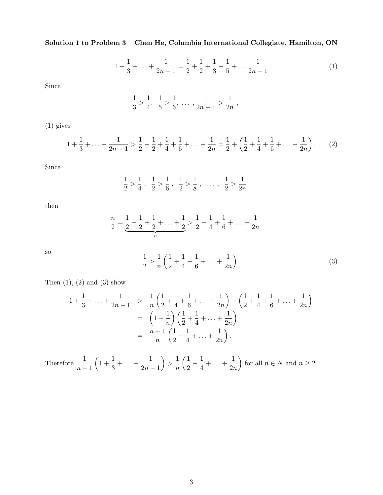## **Solution 1 to Problem 3 – Chen He, Columbia International Collegiate, Hamilton, ON**

$$
1 + \frac{1}{3} + \ldots + \frac{1}{2n - 1} = \frac{1}{2} + \frac{1}{2} + \frac{1}{3} + \frac{1}{5} + \ldots + \frac{1}{2n - 1}
$$
 (1)

Since

$$
\frac{1}{3} > \frac{1}{4}, \ \frac{1}{5} > \frac{1}{6}, \ \ldots \ , \frac{1}{2n-1} > \frac{1}{2n} \ ,
$$

(1) gives

$$
1 + \frac{1}{3} + \ldots + \frac{1}{2n - 1} > \frac{1}{2} + \frac{1}{2} + \frac{1}{4} + \frac{1}{6} + \ldots + \frac{1}{2n} = \frac{1}{2} + \left(\frac{1}{2} + \frac{1}{4} + \frac{1}{6} + \ldots + \frac{1}{2n}\right). \tag{2}
$$

Since

$$
\frac{1}{2} > \frac{1}{4} , \frac{1}{2} > \frac{1}{6} , \frac{1}{2} > \frac{1}{8} , \dots , \frac{1}{2} > \frac{1}{2n}
$$

then

$$
\frac{n}{2} = \underbrace{\frac{1}{2} + \frac{1}{2} + \frac{1}{2} + \ldots + \frac{1}{2}}_{n} > \frac{1}{2} + \frac{1}{4} + \frac{1}{6} + \ldots + \frac{1}{2n}
$$

so

$$
\frac{1}{2} > \frac{1}{n} \left( \frac{1}{2} + \frac{1}{4} + \frac{1}{6} + \dots + \frac{1}{2n} \right). \tag{3}
$$

Then  $(1)$ ,  $(2)$  and  $(3)$  show

$$
1 + \frac{1}{3} + \ldots + \frac{1}{2n - 1} > \frac{1}{n} \left( \frac{1}{2} + \frac{1}{4} + \frac{1}{6} + \ldots + \frac{1}{2n} \right) + \left( \frac{1}{2} + \frac{1}{4} + \frac{1}{6} + \ldots + \frac{1}{2n} \right)
$$
  
=  $\left( 1 + \frac{1}{n} \right) \left( \frac{1}{2} + \frac{1}{4} + \ldots + \frac{1}{2n} \right)$   
=  $\frac{n+1}{n} \left( \frac{1}{2} + \frac{1}{4} + \ldots + \frac{1}{2n} \right).$ 

Therefore  $\frac{1}{n+1}$   $\left(1+\frac{1}{3}+\ldots+\frac{1}{2n}\right)$  $2n - 1$  $\Big\} > \frac{1}{\frac{1}{2}}$ n  $\left(\frac{1}{2} + \frac{1}{4} + \ldots + \frac{1}{2n}\right)$  $2n$ for all  $n \in N$  and  $n \geq 2$ .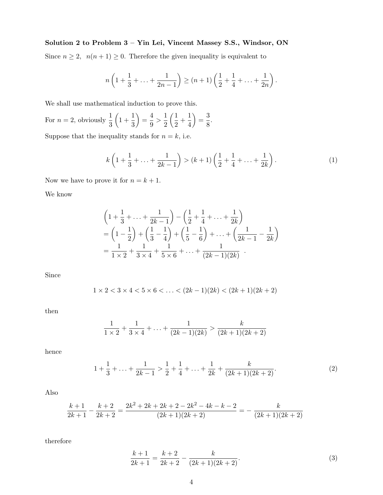## **Solution 2 to Problem 3 – Yin Lei, Vincent Massey S.S., Windsor, ON**

Since  $n \geq 2$ ,  $n(n+1) \geq 0$ . Therefore the given inequality is equivalent to

$$
n\left(1+\frac{1}{3}+\ldots+\frac{1}{2n-1}\right) \ge (n+1)\left(\frac{1}{2}+\frac{1}{4}+\ldots+\frac{1}{2n}\right).
$$

We shall use mathematical induction to prove this.

For 
$$
n = 2
$$
, obviously  $\frac{1}{3} \left( 1 + \frac{1}{3} \right) = \frac{4}{9} > \frac{1}{2} \left( \frac{1}{2} + \frac{1}{4} \right) = \frac{3}{8}$ .

Suppose that the inequality stands for  $n = k$ , i.e.

$$
k\left(1+\frac{1}{3}+\ldots+\frac{1}{2k-1}\right) > (k+1)\left(\frac{1}{2}+\frac{1}{4}+\ldots+\frac{1}{2k}\right). \tag{1}
$$

Now we have to prove it for  $n = k + 1$ .

We know

$$
\left(1 + \frac{1}{3} + \ldots + \frac{1}{2k - 1}\right) - \left(\frac{1}{2} + \frac{1}{4} + \ldots + \frac{1}{2k}\right)
$$
  
=  $\left(1 - \frac{1}{2}\right) + \left(\frac{1}{3} - \frac{1}{4}\right) + \left(\frac{1}{5} - \frac{1}{6}\right) + \ldots + \left(\frac{1}{2k - 1} - \frac{1}{2k}\right)$   
=  $\frac{1}{1 \times 2} + \frac{1}{3 \times 4} + \frac{1}{5 \times 6} + \ldots + \frac{1}{(2k - 1)(2k)}$ .

Since

$$
1 \times 2 < 3 \times 4 < 5 \times 6 < \ldots < (2k - 1)(2k) < (2k + 1)(2k + 2)
$$

then

$$
\frac{1}{1\times 2} + \frac{1}{3\times 4} + \ldots + \frac{1}{(2k-1)(2k)} > \frac{k}{(2k+1)(2k+2)}
$$

hence

$$
1 + \frac{1}{3} + \ldots + \frac{1}{2k - 1} > \frac{1}{2} + \frac{1}{4} + \ldots + \frac{1}{2k} + \frac{k}{(2k + 1)(2k + 2)}.\tag{2}
$$

Also

$$
\frac{k+1}{2k+1} - \frac{k+2}{2k+2} = \frac{2k^2 + 2k + 2k + 2 - 2k^2 - 4k - k - 2}{(2k+1)(2k+2)} = -\frac{k}{(2k+1)(2k+2)}
$$

therefore

$$
\frac{k+1}{2k+1} = \frac{k+2}{2k+2} - \frac{k}{(2k+1)(2k+2)}.
$$
\n(3)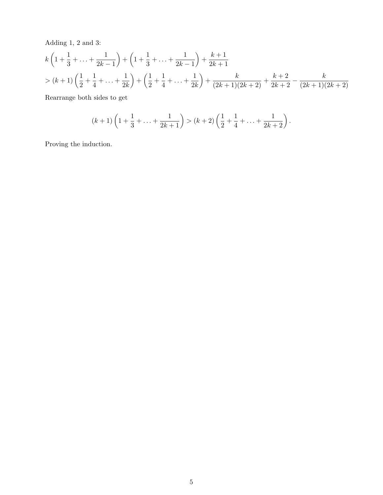Adding 1, 2 and 3:

$$
k\left(1+\frac{1}{3}+\ldots+\frac{1}{2k-1}\right) + \left(1+\frac{1}{3}+\ldots+\frac{1}{2k-1}\right) + \frac{k+1}{2k+1}
$$
  
>  $(k+1)\left(\frac{1}{2}+\frac{1}{4}+\ldots+\frac{1}{2k}\right) + \left(\frac{1}{2}+\frac{1}{4}+\ldots+\frac{1}{2k}\right) + \frac{k}{(2k+1)(2k+2)} + \frac{k+2}{2k+2} - \frac{k}{(2k+1)(2k+2)}$ 

Rearrange both sides to get

$$
(k+1)\left(1+\frac{1}{3}+\ldots+\frac{1}{2k+1}\right) > (k+2)\left(\frac{1}{2}+\frac{1}{4}+\ldots+\frac{1}{2k+2}\right).
$$

Proving the induction.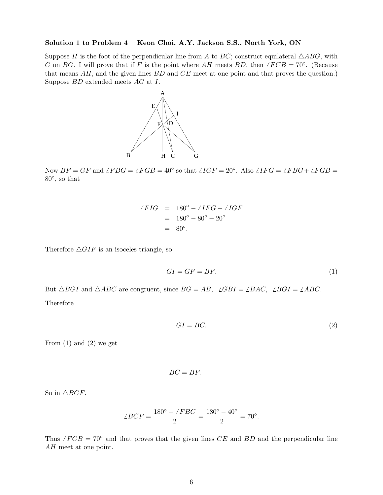### **Solution 1 to Problem 4 – Keon Choi, A.Y. Jackson S.S., North York, ON**

Suppose H is the foot of the perpendicular line from A to BC; construct equilateral  $\triangle ABC$ , with C on BG. I will prove that if F is the point where AH meets BD, then  $\angle FCB = 70^\circ$ . (Because that means  $AH$ , and the given lines  $BD$  and  $CE$  meet at one point and that proves the question.) Suppose BD extended meets AG at I.



Now  $BF = GF$  and  $\angle FBG = \angle FGB = 40^{\circ}$  so that  $\angle IGF = 20^{\circ}$ . Also  $\angle IFG = \angle FBG + \angle FGB =$ 80◦, so that

$$
\angle FIG = 180^\circ - \angle IFG - \angle IGF
$$
  
= 180^\circ - 80^\circ - 20^\circ  
= 80^\circ.

Therefore  $\triangle GIF$  is an isoceles triangle, so

$$
GI = GF = BF.\tag{1}
$$

But  $\triangle BGI$  and  $\triangle ABC$  are congruent, since  $BG = AB$ ,  $\angle GBI = \angle BAC$ ,  $\angle BGI = \angle ABC$ .

Therefore

$$
GI = BC.\t\t(2)
$$

From  $(1)$  and  $(2)$  we get

$$
BC = BF.
$$

So in  $\triangle BCF$ ,

$$
\angle BCF = \frac{180^{\circ} - \angle FBC}{2} = \frac{180^{\circ} - 40^{\circ}}{2} = 70^{\circ}.
$$

Thus  $\angle FCB = 70°$  and that proves that the given lines CE and BD and the perpendicular line AH meet at one point.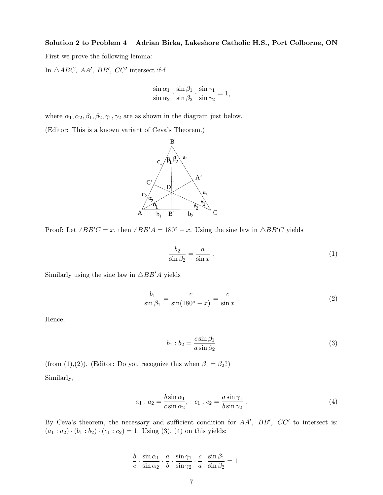### **Solution 2 to Problem 4 – Adrian Birka, Lakeshore Catholic H.S., Port Colborne, ON**

First we prove the following lemma:

In  $\triangle ABC$ , AA', BB', CC' intersect if-f

$$
\frac{\sin \alpha_1}{\sin \alpha_2} \cdot \frac{\sin \beta_1}{\sin \beta_2} \cdot \frac{\sin \gamma_1}{\sin \gamma_2} = 1,
$$

where  $\alpha_1, \alpha_2, \beta_1, \beta_2, \gamma_1, \gamma_2$  are as shown in the diagram just below.

(Editor: This is a known variant of Ceva's Theorem.)



Proof: Let  $\angle BB'C = x$ , then  $\angle BB'A = 180° - x$ . Using the sine law in  $\triangle BB'C$  yields

$$
\frac{b_2}{\sin \beta_2} = \frac{a}{\sin x} \tag{1}
$$

Similarly using the sine law in  $\triangle BB'A$  yields

$$
\frac{b_1}{\sin \beta_1} = \frac{c}{\sin(180^\circ - x)} = \frac{c}{\sin x} \,. \tag{2}
$$

Hence,

$$
b_1 : b_2 = \frac{c \sin \beta_1}{a \sin \beta_2} \tag{3}
$$

(from (1),(2)). (Editor: Do you recognize this when  $\beta_1 = \beta_2$ ?) Similarly,

$$
a_1: a_2 = \frac{b \sin \alpha_1}{c \sin \alpha_2}, \quad c_1: c_2 = \frac{a \sin \gamma_1}{b \sin \gamma_2}.
$$
 (4)

By Ceva's theorem, the necessary and sufficient condition for  $AA'$ ,  $BB'$ ,  $CC'$  to intersect is:  $(a_1 : a_2) \cdot (b_1 : b_2) \cdot (c_1 : c_2) = 1$ . Using (3), (4) on this yields:

> $\frac{b}{c} \cdot \frac{\sin \alpha_1}{\sin \alpha_2}$  $\frac{\sin\alpha_1}{\sin\alpha_2}\cdot\frac{a}{b}\cdot\frac{\sin\gamma_1}{\sin\gamma_2}$  $\frac{\sin\gamma_1}{\sin\gamma_2}\cdot\frac{c}{a}\cdot\frac{\sin\beta_1}{\sin\beta_2}$  $\frac{\sin \beta_1}{\sin \beta_2} = 1$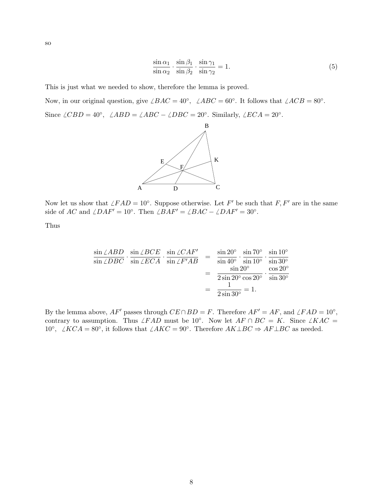so

$$
\frac{\sin \alpha_1}{\sin \alpha_2} \cdot \frac{\sin \beta_1}{\sin \beta_2} \cdot \frac{\sin \gamma_1}{\sin \gamma_2} = 1.
$$
\n(5)

This is just what we needed to show, therefore the lemma is proved.

Now, in our original question, give  $\angle BAC = 40^\circ$ ,  $\angle ABC = 60^\circ$ . It follows that  $\angle ACB = 80^\circ$ . Since  $\angle CBD = 40°$ ,  $\angle ABD = \angle ABC - \angle DBC = 20°$ . Similarly,  $\angle ECA = 20°$ .



Now let us show that  $\angle FAD = 10°$ . Suppose otherwise. Let F' be such that F, F' are in the same side of AC and  $\angle DAF' = 10°$ . Then  $\angle BAF' = \angle BAC - \angle DAF' = 30°$ .

Thus

$$
\frac{\sin \angle ABD}{\sin \angle DBC} \cdot \frac{\sin \angle BCE}{\sin \angle ECA} \cdot \frac{\sin \angle CAF'}{\sin \angle F'AB} = \frac{\sin 20^{\circ}}{\sin 40^{\circ}} \cdot \frac{\sin 70^{\circ}}{\sin 10^{\circ}} \cdot \frac{\sin 10^{\circ}}{\sin 30^{\circ}} \n= \frac{\sin 20^{\circ}}{2 \sin 20^{\circ} \cos 20^{\circ}} \cdot \frac{\cos 20^{\circ}}{\sin 30^{\circ}} \n= \frac{1}{2 \sin 30^{\circ}} = 1.
$$

By the lemma above,  $AF'$  passes through  $CE \cap BD = F$ . Therefore  $AF' = AF$ , and  $\angle FAD = 10°$ , contrary to assumption. Thus  $\angle FAD$  must be 10°. Now let  $AF \cap BC = K$ . Since  $\angle KAC =$ 10<sup>°</sup>,  $\angle KCA = 80^\circ$ , it follows that  $\angle AKC = 90^\circ$ . Therefore  $AK \perp BC \Rightarrow AF \perp BC$  as needed.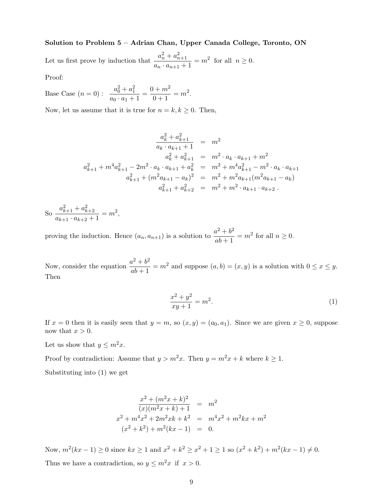### **Solution to Problem 5 – Adrian Chan, Upper Canada College, Toronto, ON**

Let us first prove by induction that  $\frac{a_n^2 + a_{n+1}^2}{a_n \cdot a_{n+1} + 1} = m^2$  for all  $n \ge 0$ .

Proof:

Base Case  $(n = 0)$ :  $\frac{a_0^2 + a_1^2}{a_0 \cdot a_1 + 1} = \frac{0 + m^2}{0 + 1} = m^2$ .

Now, let us assume that it is true for  $n = k, k \geq 0$ . Then,

$$
\frac{a_k^2 + a_{k+1}^2}{a_k \cdot a_{k+1} + 1} = m^2
$$
  
\n
$$
a_k^2 + a_{k+1}^2 = m^2 \cdot a_k \cdot a_{k+1} + m^2
$$
  
\n
$$
a_{k+1}^2 + m^4 a_{k+1}^2 - 2m^2 \cdot a_k \cdot a_{k+1} + a_k^2 = m^2 + m^4 a_{k+1}^2 - m^2 \cdot a_k \cdot a_{k+1}
$$
  
\n
$$
a_{k+1}^2 + (m^2 a_{k+1} - a_k)^2 = m^2 + m^2 a_{k+1} (m^2 a_{k+1} - a_k)
$$
  
\n
$$
a_{k+1}^2 + a_{k+2}^2 = m^2 + m^2 \cdot a_{k+1} \cdot a_{k+2}.
$$

So 
$$
\frac{a_{k+1}^2 + a_{k+2}^2}{a_{k+1} \cdot a_{k+2} + 1} = m^2,
$$

proving the induction. Hence  $(a_n, a_{n+1})$  is a solution to  $\frac{a^2 + b^2}{ab + 1} = m^2$  for all  $n \ge 0$ .

Now, consider the equation  $\frac{a^2 + b^2}{ab + 1} = m^2$  and suppose  $(a, b) = (x, y)$  is a solution with  $0 \le x \le y$ . Then

$$
\frac{x^2 + y^2}{xy + 1} = m^2.
$$
 (1)

If  $x = 0$  then it is easily seen that  $y = m$ , so  $(x, y) = (a_0, a_1)$ . Since we are given  $x \ge 0$ , suppose now that  $x > 0$ .

Let us show that  $y \leq m^2x$ .

Proof by contradiction: Assume that  $y > m^2x$ . Then  $y = m^2x + k$  where  $k \ge 1$ .

Substituting into (1) we get

$$
\frac{x^2 + (m^2x + k)^2}{(x)(m^2x + k) + 1} = m^2
$$
  

$$
x^2 + m^4x^2 + 2m^2xk + k^2 = m^4x^2 + m^2kx + m^2
$$
  

$$
(x^2 + k^2) + m^2(kx - 1) = 0.
$$

Now,  $m^2(kx - 1) \ge 0$  since  $kx \ge 1$  and  $x^2 + k^2 \ge x^2 + 1 \ge 1$  so  $(x^2 + k^2) + m^2(kx - 1) \ne 0$ . Thus we have a contradiction, so  $y \leq m^2x$  if  $x > 0$ .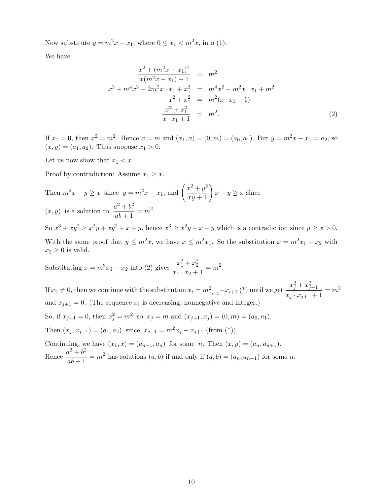Now substitute  $y = m^2x - x_1$ , where  $0 \le x_1 < m^2x$ , into (1).

We have

$$
\frac{x^2 + (m^2x - x_1)^2}{x(m^2x - x_1) + 1} = m^2
$$
  

$$
x^2 + m^4x^2 - 2m^2x \cdot x_1 + x_1^2 = m^4x^2 - m^2x \cdot x_1 + m^2
$$
  

$$
x^2 + x_1^2 = m^2(x \cdot x_1 + 1)
$$
  

$$
\frac{x^2 + x_1^2}{x \cdot x_1 + 1} = m^2.
$$
 (2)

If  $x_1 = 0$ , then  $x^2 = m^2$ . Hence  $x = m$  and  $(x_1, x) = (0, m) = (a_0, a_1)$ . But  $y = m^2x - x_1 = a_2$ , so  $(x, y) = (a_1, a_2)$ . Thus suppose  $x_1 > 0$ .

Let us now show that  $x_1 < x$ .

Proof by contradiction: Assume  $x_1 \geq x$ .

Then 
$$
m^2x - y \ge x
$$
 since  $y = m^2x - x_1$ , and  $\left(\frac{x^2 + y^2}{xy + 1}\right)x - y \ge x$  since  
(x, y) is a solution to  $\frac{a^2 + b^2}{ab + 1} = m^2$ .

So  $x^3 + xy^2 \ge x^2y + xy^2 + x + y$ , hence  $x^3 \ge x^2y + x + y$  which is a contradiction since  $y \ge x > 0$ . With the same proof that  $y \leq m^2x$ , we have  $x \leq m^2x_1$ . So the substitution  $x = m^2x_1 - x_2$  with  $x_2 \geq 0$  is valid.

Substituting  $x = m^2 x_1 - x_2$  into (2) gives  $\frac{x_1^2 + x_2^2}{x_1 \cdot x_2 + 1} = m^2$ .

If  $x_2 \neq 0$ , then we continue with the substitution  $x_i = m_{x_{i+1}}^2 - x_{i+2}$  (\*) until we get  $\frac{x_j^2 + x_{j+1}^2}{x_j \cdot x_{j+1} + 1} = m^2$ and  $x_{i+1} = 0$ . (The sequence  $x_i$  is decreasing, nonnegative and integer.)

So, if  $x_{j+1} = 0$ , then  $x_j^2 = m^2$  so  $x_j = m$  and  $(x_{j+1}, x_j) = (0, m) = (a_0, a_1)$ . Then  $(x_j, x_{j-1}) = (a_1, a_2)$  since  $x_{j-1} = m^2 x_j - x_{j+1}$  (from (\*)).

Continuing, we have  $(x_1, x)=(a_{n-1}, a_n)$  for some n. Then  $(x, y)=(a_n, a_{n+1})$ . Hence  $\frac{a^2 + b^2}{ab + 1} = m^2$  has solutions  $(a, b)$  if and only if  $(a, b) = (a_n, a_{n+1})$  for some n.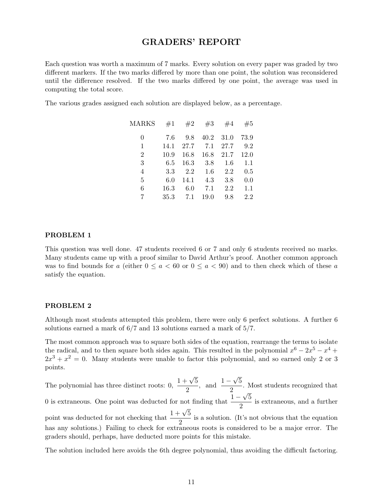# **GRADERS' REPORT**

Each question was worth a maximum of 7 marks. Every solution on every paper was graded by two different markers. If the two marks differed by more than one point, the solution was reconsidered until the difference resolved. If the two marks differed by one point, the average was used in computing the total score.

The various grades assigned each solution are displayed below, as a percentage.

| MARKS          | #1   | #2   | #3   | #4   | #5      |
|----------------|------|------|------|------|---------|
| 0              | 7.6  | 9.8  | 40.2 | 31.0 | 73.9    |
| 1              | 14.1 | 27.7 | 7.1  | 27.7 | 9.2     |
| $\overline{2}$ | 10.9 | 16.8 | 16.8 | 21.7 | 12.0    |
| 3              | 6.5  | 16.3 | 3.8  | 1.6  | $1.1\,$ |
| $\overline{4}$ | 3.3  | 2.2  | 1.6  | 2.2  | 0.5     |
| 5              | 6.0  | 14.1 | 4.3  | 3.8  | 0.0     |
| 6              | 16.3 | 6.0  | 7.1  | 2.2  | 1.1     |
| 7              | 35.3 | 7.1  | 19.0 | 9.8  | 2.2     |

#### **PROBLEM 1**

This question was well done. 47 students received 6 or 7 and only 6 students received no marks. Many students came up with a proof similar to David Arthur's proof. Another common approach was to find bounds for a (either  $0 \le a < 60$  or  $0 \le a < 90$ ) and to then check which of these a satisfy the equation.

### **PROBLEM 2**

Although most students attempted this problem, there were only 6 perfect solutions. A further 6 solutions earned a mark of 6/7 and 13 solutions earned a mark of 5/7.

The most common approach was to square both sides of the equation, rearrange the terms to isolate the radical, and to then square both sides again. This resulted in the polynomial  $x^6 - 2x^5 - x^4 +$  $2x^3 + x^2 = 0$ . Many students were unable to factor this polynomial, and so earned only 2 or 3 points.

The polynomial has three distinct roots: 0,  $\frac{1+\sqrt{5}}{2}$ , and  $\frac{1-\sqrt{5}}{2}$ . Most students recognized that 0 is extraneous. One point was deducted for not finding that  $\frac{1-\sqrt{5}}{2}$  is extraneous, and a further point was deducted for not checking that  $\frac{1+\sqrt{5}}{2}$  is a solution. (It's not obvious that the equation has any solutions.) Failing to check for extraneous roots is considered to be a major error. The graders should, perhaps, have deducted more points for this mistake.

The solution included here avoids the 6th degree polynomial, thus avoiding the difficult factoring.